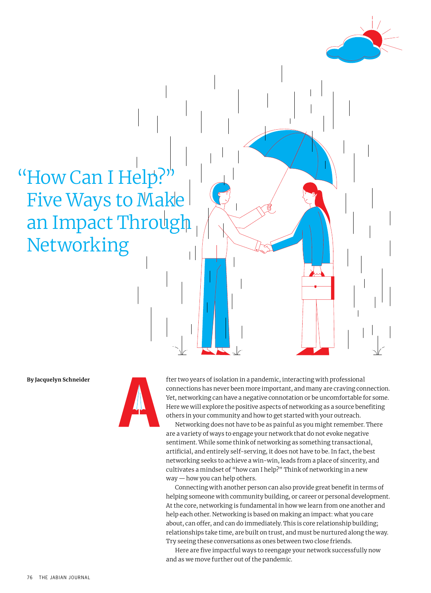# "How Can I Help?" Five Ways to Make an Impact Through Networking



**By Jacquelyn Schneider fter two years of isolation in a pandemic, interacting with professional** connections has never been more important, and many are craving connection. Yet, networking can have a negative connotation or be uncomfortable for some. Here we will explore the positive aspects of networking as a source benefiting others in your community and how to get started with your outreach.

Networking does not have to be as painful as you might remember. There are a variety of ways to engage your network that do not evoke negative sentiment. While some think of networking as something transactional, artificial, and entirely self-serving, it does not have to be. In fact, the best networking seeks to achieve a win-win, leads from a place of sincerity, and cultivates a mindset of "how can I help?" Think of networking in a new way — how you can help others.

Connecting with another person can also provide great benefit in terms of helping someone with community building, or career or personal development. At the core, networking is fundamental in how we learn from one another and help each other. Networking is based on making an impact: what you care about, can offer, and can do immediately. This is core relationship building; relationships take time, are built on trust, and must be nurtured along the way. Try seeing these conversations as ones between two close friends.

Here are five impactful ways to reengage your network successfully now and as we move further out of the pandemic.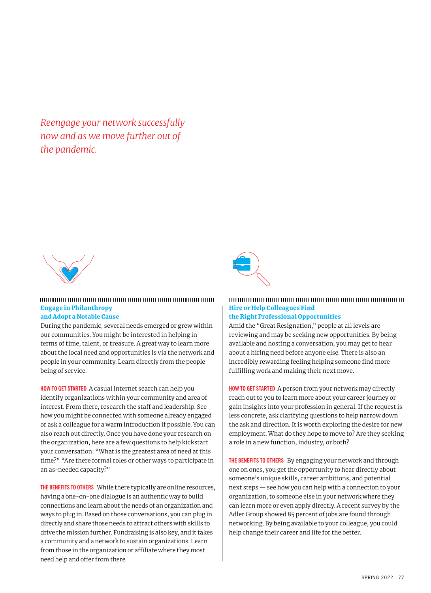*Reengage your network successfully now and as we move further out of the pandemic.*



#### Engage in Philanthropy and Adopt a Notable Cause

During the pandemic, several needs emerged or grew within our communities. You might be interested in helping in terms of time, talent, or treasure. A great way to learn more about the local need and opportunities is via the network and people in your community. Learn directly from the people being of service.

**HOW TO GET STARTED** A casual internet search can help you identify organizations within your community and area of interest. From there, research the staff and leadership. See how you might be connected with someone already engaged or ask a colleague for a warm introduction if possible. You can also reach out directly. Once you have done your research on the organization, here are a few questions to help kickstart your conversation: "What is the greatest area of need at this time?" "Are there formal roles or other ways to participate in an as-needed capacity?"

**THE BENEFITS TO OTHERS** While there typically are online resources, having a one-on-one dialogue is an authentic way to build connections and learn about the needs of an organization and ways to plug in. Based on those conversations, you can plug in directly and share those needs to attract others with skills to drive the mission further. Fundraising is also key, and it takes a community and a network to sustain organizations. Learn from those in the organization or affiliate where they most need help and offer from there.



### Hire or Help Colleagues Find

the Right Professional Opportunities

Amid the "Great Resignation," people at all levels are reviewing and may be seeking new opportunities. By being available and hosting a conversation, you may get to hear about a hiring need before anyone else. There is also an incredibly rewarding feeling helping someone find more fulfilling work and making their next move.

**HOW TO GET STARTED** A person from your network may directly reach out to you to learn more about your career journey or gain insights into your profession in general. If the request is less concrete, ask clarifying questions to help narrow down the ask and direction. It is worth exploring the desire for new employment. What do they hope to move to? Are they seeking a role in a new function, industry, or both?

**THE BENEFITS TO OTHERS** By engaging your network and through one on ones, you get the opportunity to hear directly about someone's unique skills, career ambitions, and potential next steps — see how you can help with a connection to your organization, to someone else in your network where they can learn more or even apply directly. A recent survey by the Adler Group showed 85 percent of jobs are found through networking. By being available to your colleague, you could help change their career and life for the better.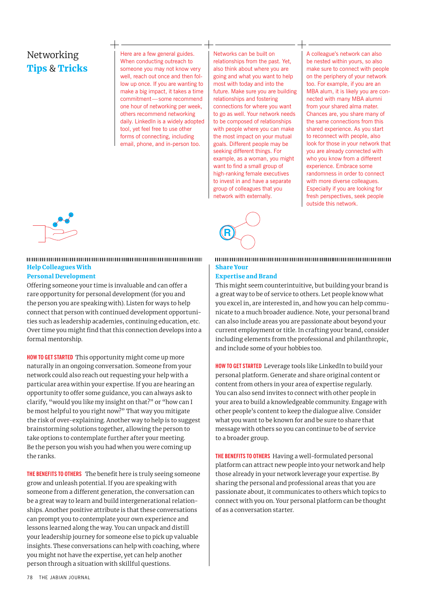## Networking Tips & Tricks

Here are a few general guides. When conducting outreach to someone you may not know very well, reach out once and then follow up once. If you are wanting to make a big impact, it takes a time commitment—some recommend one hour of networking per week, others recommend networking daily. LinkedIn is a widely adopted tool, yet feel free to use other forms of connecting, including email, phone, and in-person too.

Networks can be built on relationships from the past. Yet, also think about where you are going and what you want to help most with today and into the future. Make sure you are building relationships and fostering connections for where you want to go as well. Your network needs to be composed of relationships with people where you can make the most impact on your mutual goals. Different people may be seeking different things. For example, as a woman, you might want to find a small group of high-ranking female executives to invest in and have a separate group of colleagues that you network with externally.

A colleague's network can also be nested within yours, so also make sure to connect with people on the periphery of your network too. For example, if you are an MBA alum, it is likely you are connected with many MBA alumni from your shared alma mater. Chances are, you share many of the same connections from this shared experience. As you start to reconnect with people, also look for those in your network that you are already connected with who you know from a different experience. Embrace some randomness in order to connect with more diverse colleagues. Especially if you are looking for fresh perspectives, seek people outside this network.



#### Help Colleagues With

#### Personal Development

Offering someone your time is invaluable and can offer a rare opportunity for personal development (for you and the person you are speaking with). Listen for ways to help connect that person with continued development opportunities such as leadership academies, continuing education, etc. Over time you might find that this connection develops into a formal mentorship.

**HOW TO GET STARTED** This opportunity might come up more naturally in an ongoing conversation. Someone from your network could also reach out requesting your help with a particular area within your expertise. If you are hearing an opportunity to offer some guidance, you can always ask to clarify, "would you like my insight on that?" or "how can I be most helpful to you right now?" That way you mitigate the risk of over-explaining. Another way to help is to suggest brainstorming solutions together, allowing the person to take options to contemplate further after your meeting. Be the person you wish you had when you were coming up the ranks.

**THE BENEFITS TO OTHERS** The benefit here is truly seeing someone grow and unleash potential. If you are speaking with someone from a different generation, the conversation can be a great way to learn and build intergenerational relationships. Another positive attribute is that these conversations can prompt you to contemplate your own experience and lessons learned along the way. You can unpack and distill your leadership journey for someone else to pick up valuable insights. These conversations can help with coaching, where you might not have the expertise, yet can help another person through a situation with skillful questions.



#### Share Your

#### Expertise and Brand

This might seem counterintuitive, but building your brand is a great way to be of service to others. Let people know what you excel in, are interested in, and how you can help communicate to a much broader audience. Note, your personal brand can also include areas you are passionate about beyond your current employment or title. In crafting your brand, consider including elements from the professional and philanthropic, and include some of your hobbies too.

**HOW TO GET STARTED** Leverage tools like LinkedIn to build your personal platform. Generate and share original content or content from others in your area of expertise regularly. You can also send invites to connect with other people in your area to build a knowledgeable community. Engage with other people's content to keep the dialogue alive. Consider what you want to be known for and be sure to share that message with others so you can continue to be of service to a broader group.

**THE BENEFITS TO OTHERS** Having a well-formulated personal platform can attract new people into your network and help those already in your network leverage your expertise. By sharing the personal and professional areas that you are passionate about, it communicates to others which topics to connect with you on. Your personal platform can be thought of as a conversation starter.